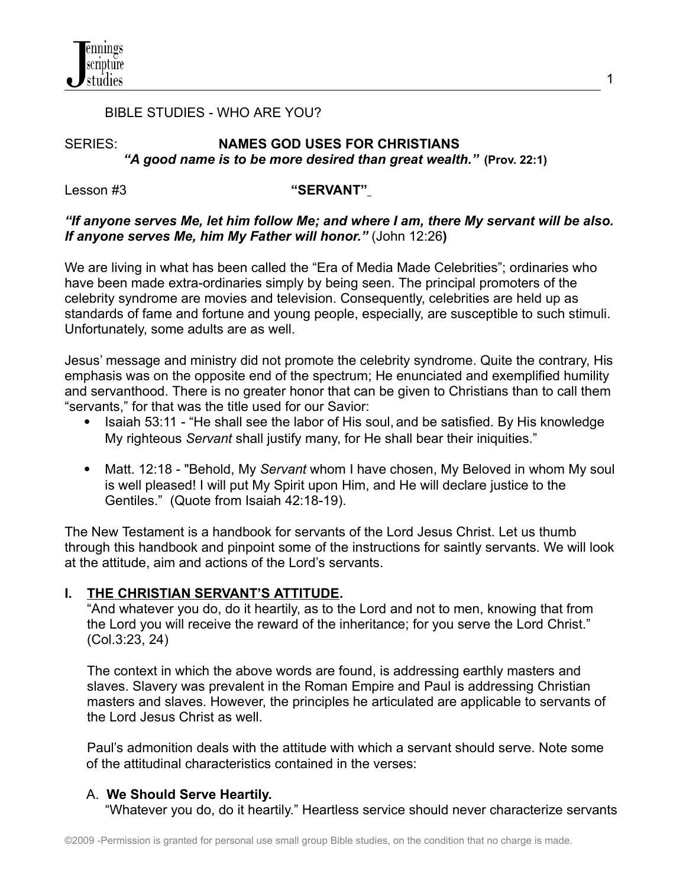## BIBLE STUDIES - WHO ARE YOU?

# SERIES: **NAMES GOD USES FOR CHRISTIANS** *"A good name is to be more desired than great wealth."* **(Prov. 22:1)**

## Lesson #3 **"SERVANT"**

## *"If anyone serves Me, let him follow Me; and where I am, there My servant will be also. If anyone serves Me, him My Father will honor."* (John 12:26**)**

We are living in what has been called the "Era of Media Made Celebrities"; ordinaries who have been made extra-ordinaries simply by being seen. The principal promoters of the celebrity syndrome are movies and television. Consequently, celebrities are held up as standards of fame and fortune and young people, especially, are susceptible to such stimuli. Unfortunately, some adults are as well.

Jesus' message and ministry did not promote the celebrity syndrome. Quite the contrary, His emphasis was on the opposite end of the spectrum; He enunciated and exemplified humility and servanthood. There is no greater honor that can be given to Christians than to call them "servants," for that was the title used for our Savior:

- Isaiah 53:11 "He shall see the labor of His soul, and be satisfied. By His knowledge My righteous *Servant* shall justify many, for He shall bear their iniquities."
- Matt. 12:18 "Behold, My *Servant* whom I have chosen, My Beloved in whom My soul is well pleased! I will put My Spirit upon Him, and He will declare justice to the Gentiles." (Quote from Isaiah 42:18-19).

The New Testament is a handbook for servants of the Lord Jesus Christ. Let us thumb through this handbook and pinpoint some of the instructions for saintly servants. We will look at the attitude, aim and actions of the Lord's servants.

# **I. THE CHRISTIAN SERVANT'S ATTITUDE.**

"And whatever you do, do it heartily, as to the Lord and not to men, knowing that from the Lord you will receive the reward of the inheritance; for you serve the Lord Christ." (Col.3:23, 24)

The context in which the above words are found, is addressing earthly masters and slaves. Slavery was prevalent in the Roman Empire and Paul is addressing Christian masters and slaves. However, the principles he articulated are applicable to servants of the Lord Jesus Christ as well.

Paul's admonition deals with the attitude with which a servant should serve. Note some of the attitudinal characteristics contained in the verses:

# A. **We Should Serve Heartily.**

"Whatever you do, do it heartily." Heartless service should never characterize servants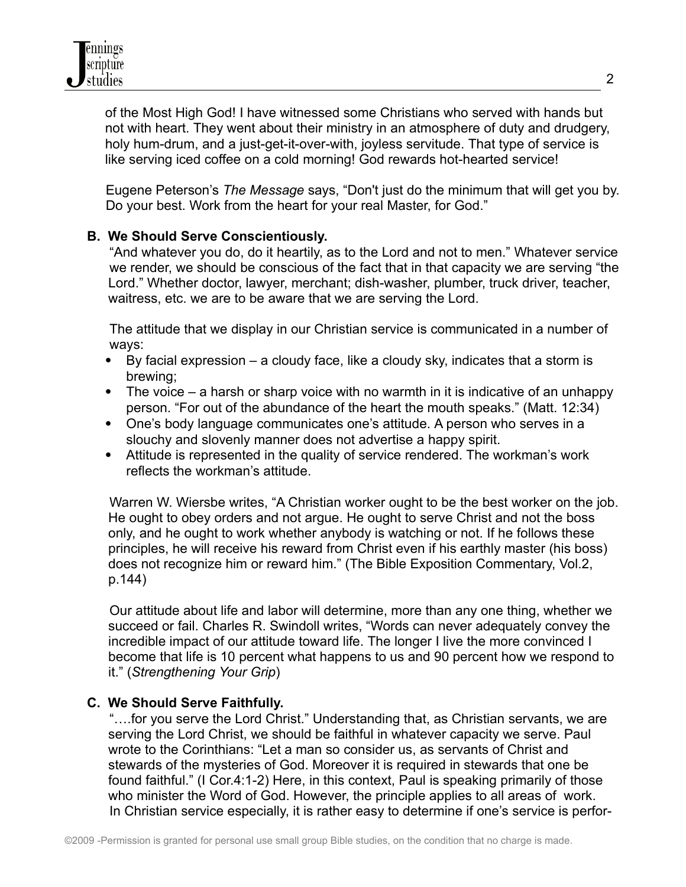of the Most High God! I have witnessed some Christians who served with hands but not with heart. They went about their ministry in an atmosphere of duty and drudgery, holy hum-drum, and a just-get-it-over-with, joyless servitude. That type of service is like serving iced coffee on a cold morning! God rewards hot-hearted service!

Eugene Peterson's *The Message* says, "Don't just do the minimum that will get you by. Do your best. Work from the heart for your real Master, for God."

## **B. We Should Serve Conscientiously.**

"And whatever you do, do it heartily, as to the Lord and not to men." Whatever service we render, we should be conscious of the fact that in that capacity we are serving "the Lord." Whether doctor, lawyer, merchant; dish-washer, plumber, truck driver, teacher, waitress, etc. we are to be aware that we are serving the Lord.

The attitude that we display in our Christian service is communicated in a number of ways:

- By facial expression a cloudy face, like a cloudy sky, indicates that a storm is brewing;
- $\bullet$  The voice a harsh or sharp voice with no warmth in it is indicative of an unhappy person. "For out of the abundance of the heart the mouth speaks." (Matt. 12:34)
- One's body language communicates one's attitude. A person who serves in a slouchy and slovenly manner does not advertise a happy spirit.
- Attitude is represented in the quality of service rendered. The workman's work reflects the workman's attitude.

Warren W. Wiersbe writes, "A Christian worker ought to be the best worker on the job. He ought to obey orders and not argue. He ought to serve Christ and not the boss only, and he ought to work whether anybody is watching or not. If he follows these principles, he will receive his reward from Christ even if his earthly master (his boss) does not recognize him or reward him." (The Bible Exposition Commentary, Vol.2, p.144)

Our attitude about life and labor will determine, more than any one thing, whether we succeed or fail. Charles R. Swindoll writes, "Words can never adequately convey the incredible impact of our attitude toward life. The longer I live the more convinced I become that life is 10 percent what happens to us and 90 percent how we respond to it." (*Strengthening Your Grip*)

## **C. We Should Serve Faithfully.**

"….for you serve the Lord Christ." Understanding that, as Christian servants, we are serving the Lord Christ, we should be faithful in whatever capacity we serve. Paul wrote to the Corinthians: "Let a man so consider us, as servants of Christ and stewards of the mysteries of God. Moreover it is required in stewards that one be found faithful." (I Cor.4:1-2) Here, in this context, Paul is speaking primarily of those who minister the Word of God. However, the principle applies to all areas of work. In Christian service especially, it is rather easy to determine if one's service is perfor-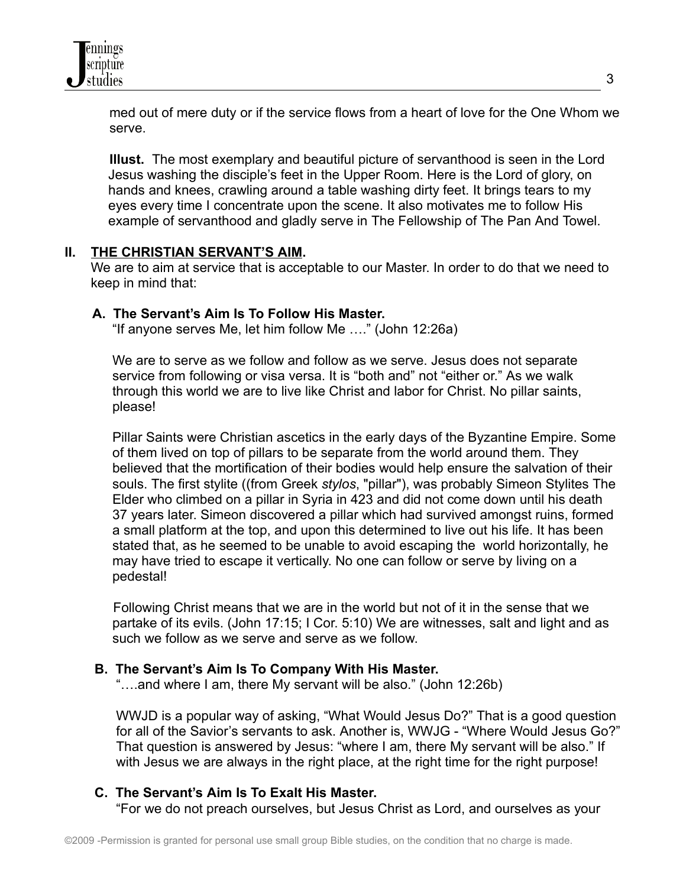

med out of mere duty or if the service flows from a heart of love for the One Whom we serve.

**Illust.** The most exemplary and beautiful picture of servanthood is seen in the Lord Jesus washing the disciple's feet in the Upper Room. Here is the Lord of glory, on hands and knees, crawling around a table washing dirty feet. It brings tears to my eyes every time I concentrate upon the scene. It also motivates me to follow His example of servanthood and gladly serve in The Fellowship of The Pan And Towel.

#### **II. THE CHRISTIAN SERVANT'S AIM.**

We are to aim at service that is acceptable to our Master. In order to do that we need to keep in mind that:

#### **A. The Servant's Aim Is To Follow His Master.**

"If anyone serves Me, let him follow Me …." (John 12:26a)

We are to serve as we follow and follow as we serve. Jesus does not separate service from following or visa versa. It is "both and" not "either or." As we walk through this world we are to live like Christ and labor for Christ. No pillar saints, please!

Pillar Saints were [Christian](http://en.wikipedia.org/wiki/Christian) [ascetics](http://en.wikipedia.org/wiki/Ascetic) in the early days of the [Byzantine](http://en.wikipedia.org/wiki/Byzantine_Empire) Empire. Some of them lived on top of pillars to be separate from the world around them. They believed that the mortification of their bodies would help ensure the [salvation](http://en.wikipedia.org/wiki/Salvation) of their souls. The first stylite ((from Greek *stylos*, "pillar"), was probably Simeon Stylites The Elder who climbed on a pillar in Syria in 423 and did not come down until his death 37 years later. Simeon discovered a pillar which had survived amongst ruins, formed a small platform at the top, and upon this determined to live out his life. It has been stated that, as he seemed to be unable to avoid escaping the world horizontally, he may have tried to escape it vertically. No one can follow or serve by living on a pedestal!

Following Christ means that we are in the world but not of it in the sense that we partake of its evils. (John 17:15; I Cor. 5:10) We are witnesses, salt and light and as such we follow as we serve and serve as we follow.

#### **B. The Servant's Aim Is To Company With His Master.**

"….and where I am, there My servant will be also." (John 12:26b)

WWJD is a popular way of asking, "What Would Jesus Do?" That is a good question for all of the Savior's servants to ask. Another is, WWJG - "Where Would Jesus Go?" That question is answered by Jesus: "where I am, there My servant will be also." If with Jesus we are always in the right place, at the right time for the right purpose!

#### **C. The Servant's Aim Is To Exalt His Master.**

"For we do not preach ourselves, but Jesus Christ as Lord, and ourselves as your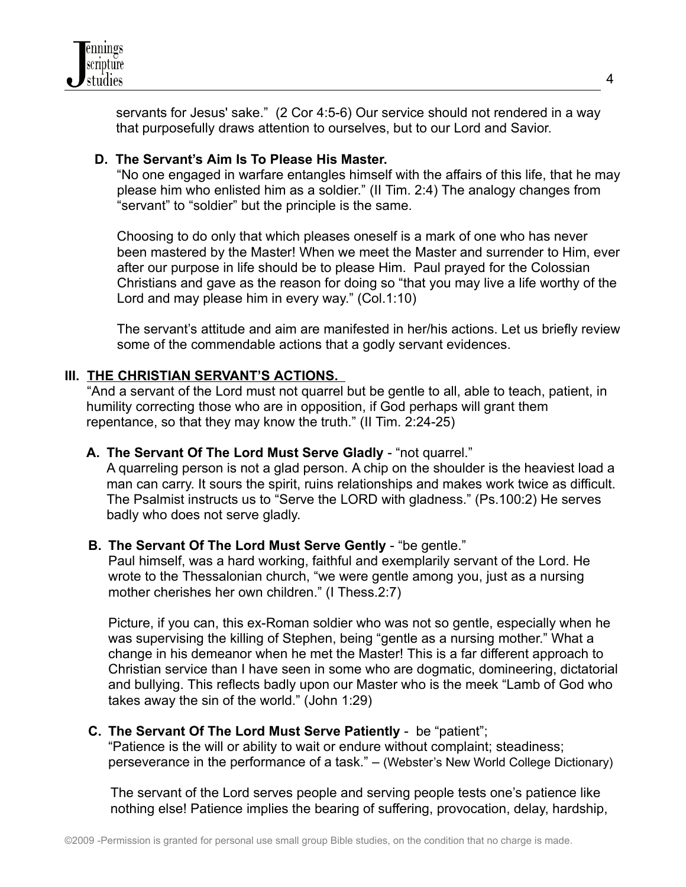

servants for Jesus' sake." (2 Cor 4:5-6) Our service should not rendered in a way that purposefully draws attention to ourselves, but to our Lord and Savior.

## **D. The Servant's Aim Is To Please His Master.**

"No one engaged in warfare entangles himself with the affairs of this life, that he may please him who enlisted him as a soldier." (II Tim. 2:4) The analogy changes from "servant" to "soldier" but the principle is the same.

Choosing to do only that which pleases oneself is a mark of one who has never been mastered by the Master! When we meet the Master and surrender to Him, ever after our purpose in life should be to please Him. Paul prayed for the Colossian Christians and gave as the reason for doing so "that you may live a life worthy of the Lord and may please him in every way." (Col.1:10)

The servant's attitude and aim are manifested in her/his actions. Let us briefly review some of the commendable actions that a godly servant evidences.

## **III. THE CHRISTIAN SERVANT'S ACTIONS.**

"And a servant of the Lord must not quarrel but be gentle to all, able to teach, patient, in humility correcting those who are in opposition, if God perhaps will grant them repentance, so that they may know the truth." (II Tim. 2:24-25)

## **A. The Servant Of The Lord Must Serve Gladly** - "not quarrel."

A quarreling person is not a glad person. A chip on the shoulder is the heaviest load a man can carry. It sours the spirit, ruins relationships and makes work twice as difficult. The Psalmist instructs us to "Serve the LORD with gladness." (Ps.100:2) He serves badly who does not serve gladly.

## **B. The Servant Of The Lord Must Serve Gently** - "be gentle."

Paul himself, was a hard working, faithful and exemplarily servant of the Lord. He wrote to the Thessalonian church, "we were gentle among you, just as a nursing mother cherishes her own children." (I Thess.2:7)

Picture, if you can, this ex-Roman soldier who was not so gentle, especially when he was supervising the killing of Stephen, being "gentle as a nursing mother." What a change in his demeanor when he met the Master! This is a far different approach to Christian service than I have seen in some who are dogmatic, domineering, dictatorial and bullying. This reflects badly upon our Master who is the meek "Lamb of God who takes away the sin of the world." (John 1:29)

## **C. The Servant Of The Lord Must Serve Patiently** - be "patient";

"Patience is the will or ability to wait or endure without complaint; steadiness; perseverance in the performance of a task." – (Webster's New World College Dictionary)

The servant of the Lord serves people and serving people tests one's patience like nothing else! Patience implies the bearing of suffering, provocation, delay, hardship,